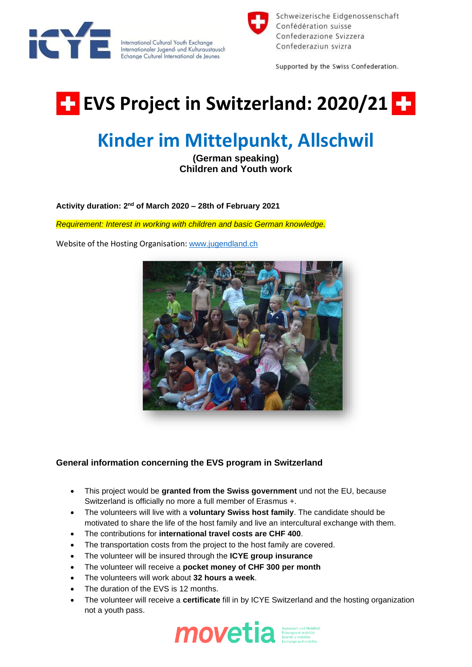

International Cultural Youth Exchange Internationaler Jugend- und Kulturaustausch Echange Culturel International de Jeunes



Schweizerische Eidgenossenschaft Confédération suisse Confederazione Svizzera Confederaziun svizra

Supported by the Swiss Confederation.

## **EVS Project in Switzerland: 2020/21 F2**

## **Kinder im Mittelpunkt, Allschwil**

**(German speaking) Children and Youth work**

Activity duration: 2<sup>nd</sup> of March 2020 – 28th of February 2021

*Requirement: Interest in working with children and basic German knowledge.*

Website of the Hosting Organisation: [www.jugendland.ch](http://www.jugendland.ch/)



## **General information concerning the EVS program in Switzerland**

- This project would be **granted from the Swiss government** und not the EU, because Switzerland is officially no more a full member of Erasmus +.
- The volunteers will live with a **voluntary Swiss host family**. The candidate should be motivated to share the life of the host family and live an intercultural exchange with them.
- The contributions for **international travel costs are CHF 400**.
- The transportation costs from the project to the host family are covered.
- The volunteer will be insured through the **ICYE group insurance**
- The volunteer will receive a **pocket money of CHF 300 per month**
- The volunteers will work about **32 hours a week**.
- The duration of the EVS is 12 months.
- The volunteer will receive a **certificate** fill in by ICYE Switzerland and the hosting organization not a youth pass.